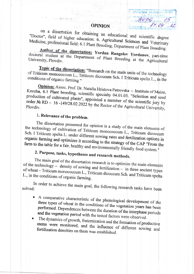### **OPINION**

AFPAPEM VHMBERCMTET

HOPENON 15 Boursenous 14.04 n 22

on a dissertation for obtaining an educational and scientific degree "Doctor", field of higher education: 6. Agricultural Sciences and Veterinary Medicine, professional field: 6.1 Plant Breeding, Department of Plant Breeding.

Author of the dissertation: Yordan Rangelov Yordanov, part-time doctoral student at the Department of Plant Breeding at the Agricultural

Topic of the dissertation: "Research on the main units of the technology of Triticum monococcum L., Triticum dicoccum Sch. I Triticum spelta L., in the conditions of organic farming"

Opinion: Assoc. Prof. Dr. Natalia Hristova Petrovska - Institute of Maize, Knezha, 6.1 Plant breeding, scientific specialty 04.01.05. "Selection and seed production of cultivated plants", appointed a member of the scientific jury by order  $N_2$  RD - 16 -149/28.02.2022 by the Rector of the Agricultural University,

## 1. Relevance of the problem.

e i stanika p

The dissertation presented for opinion is a study of the main elements of the technology of cultivation of Triticum monococcum L., Triticum dicoccum Sch. I Triticum spelta L. under different sowing rates and fertilization options in organic farming and optimizes it according to the strategy of the CAP "From the farm to the table for a fair, healthy and environmentally friendly food system."

# 2. Purpose, tasks, hypotheses and research methods.

The main goal of the dissertation research is to optimize the main elements of the technology – density of sowing and fertilization – in three ancient types of wheat – Triticum monococcum L., Triticum dicoccum Sch. and Triticum spelta L., in the conditions of organic farming.

In order to achieve the main goal, the following research tasks have been solved:

- A comparative characteristic of the phenological development of the  $\bullet$ three types of wheat in the conditions of the vegetation years has been performed. Dependences between the duration of the interphase periods and the vegetation period with the tested factors were observed.
- The dynamics of growth, fraternization and the formation of productive  $\bullet$ stems were monitored, and the influence of different sowing and fertilization densities on them was established.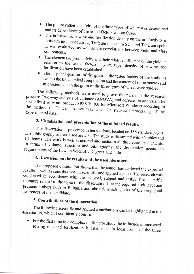- The photosynthetic activity of the three types of wheat was determined and its dependence of the tested factors was analyzed.
- The influence of sowing and fertilization density on the productivity of Triticum monococcum L., Triticum dicoccum Sch. and Triticum spelta L. was evaluated, as well as the correlations between yield and class components.
- The elements of productivity and their relative influence on the yield in relation to the tested factors  $-$  year, type, density of sowing and fertilization have been established.
- The physical qualities of the grain in the tested factors of the study, as well as the biochemical composition and the content of some macro-and microelements in the grain of the three types of wheat were studied.

The following methods were used to prove the thesis in the research process: Two-way analysis of variance (ANOVA) and correlation analysis. The specialized software product SPSS V. 9.0 for Microsoft Windows according to the method of Duncan, Anova was used for statistical processing of the experimental data.

# 3. Visualization and presentation of the obtained results.

The dissertation is presented in ten sections, located on 155 standard pages. The bibliography sources used are 204. The study is illustrated with 86 tables and 12 figures. The work is well structured and includes all the necessary elements. In terms of volume, structure and bibliography, the dissertation meets the requirements of the Law on Scientific Degrees and Titles.

## 4. Discussion on the results and the used literature.

The proposed dissertation shows that the author has achieved the expected results as well as contributions in scientific and applied aspects. The research was conducted in accordance with the set goal, subject and tasks. The scientific literature related to the topic of the dissertation is at the required high level and presents authors both in Bulgaria and abroad, which speaks of the very good awareness of the candidate.

### 5. Contributions of the dissertation.

The following scientific and applied contributions can be highlighted in the dissertation, which I confidently confirm:

For the first time in a complex multifactor study the influence of increased  $\bullet$ sowing rate and fertilization is established in local forms of the three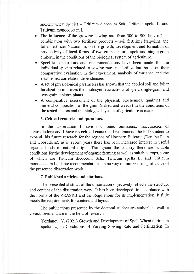ancient wheat species - Triticum dicoccum Sch., Triticum spelta L. and Triticum monococcum L.

- The influence of the growing sowing rate from 500 to 900 hp  $/m2$ , in combination with two fertilizer products - soil fertilizer Italpolina and foliar fertilizer Naturamin, on the growth, development and formation of productivity of local forms of two-grain einkorn, spelt and single-grain einkorn, in the conditions of the biological system of agriculture.
- Specific conclusions and recommendations have been made for the individual species related to sowing rate and fertilization, based on their comparative evaluation in the experiment, analysis of variance and the established correlation dependencies.
- A set of physiological parameters has shown that the applied soil and foliar fertilization improves the photosynthetic activity of spelt, single-grain and two-grain einkorn plants.
- A comparative assessment of the physical, biochemical qualities and mineral composition of the grain (naked and weedy) in the conditions of the tested factors and the biological system of agriculture is made.

#### 6. Critical remarks and questions.

In the dissertation I have not found omissions, inaccuracies or contradictions and I have no critical remarks. I recommend the PhD student to expand his future research for the regions of Northern Bulgaria (Danube Plain and Dobrudzha), as in recent years there has been increased interest in useful organic foods of natural origin. Throughout the country there are suitable conditions for the development of organic farming as well as suitable crops, some of which are Triticum dicoccum Sch., Triticum spelta L. and Triticum monococcum L. These recommendations in no way minimize the significance of the presented dissertation work.

### 7. Published articles and citations.

The presented abstract of the dissertation objectively reflects the structure and content of the dissertation work. It has been developed in accordance with the norms of the ZRASRB and the Regulations for its implementation. It fully meets the requirements for content and layout.

The publications presented by the doctoral student are author's as well as co-authored and are in the field of research.

Yordanov, Y. (2021) Growth and Development of Spelt Wheat (Triticum spelta L.) in Conditions of Varying Sowing Rate and Fertilization. In